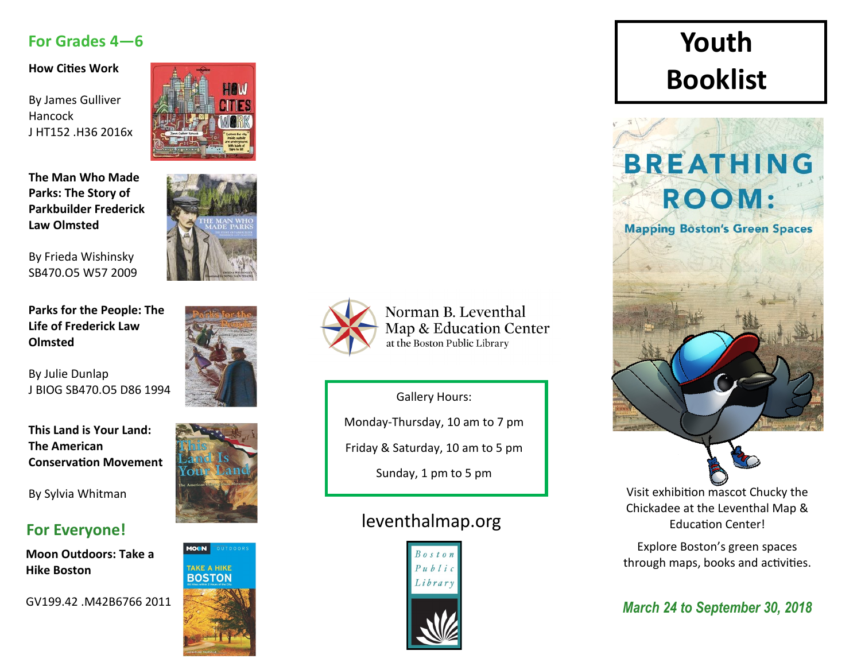#### **For Grades 4—6**

**How Cities Work**

By James Gulliver Hancock J HT152 .H36 2016x

**The Man Who Made Parks: The Story of Parkbuilder Frederick Law Olmsted**

By Frieda Wishinsky SB470.O5 W57 2009

**Parks for the People: The Life of Frederick Law Olmsted**

By Julie Dunlap J BIOG SB470.O5 D86 1994

**This Land is Your Land: The American Conservation Movement**

By Sylvia Whitman

## **For Everyone!**

**Moon Outdoors: Take a Hike Boston**

GV199.42 .M42B6766 2011













Norman B. Leventhal Map & Education Center at the Boston Public Library

Gallery Hours:

Monday-Thursday, 10 am to 7 pm

Friday & Saturday, 10 am to 5 pm

Sunday, 1 pm to 5 pm

## leventhalmap.org



## **Youth Booklist**



Visit exhibition mascot Chucky the Chickadee at the Leventhal Map & Education Center!

Explore Boston's green spaces through maps, books and activities.

*March 24 to September 30, 2018*